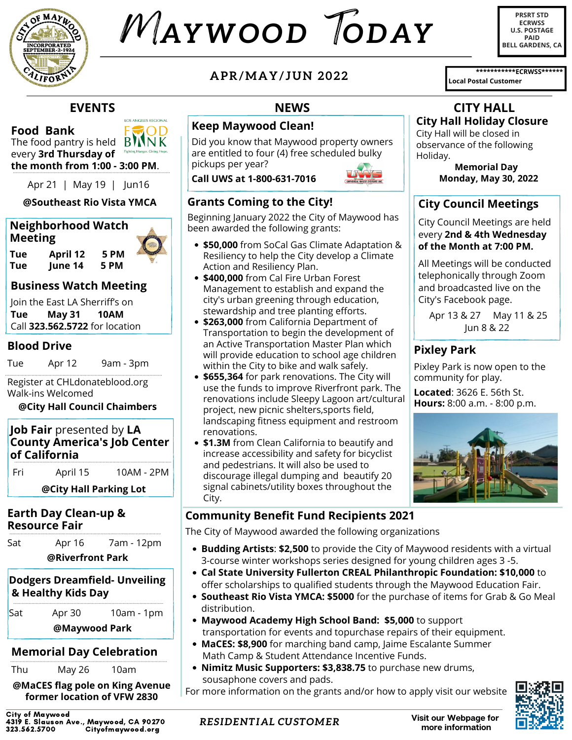

# M*AYWOOD* T*ODAY*

**PRSRT STD ECRWSS U.S. POSTAGE PAID BELL GARDENS, CA**

**\*\*\*\*\*\*\*\*\*\*\*ECRWSS\*\*\*\*\*\***

**EVENTS**

LOS ANCELES RECIONAL חר

**Food Bank**

The food pantry is held  $\overline{B}$   $\overline{N}$   $\overline{N}$   $\overline{K}$ every **3rd Thursday of the month from 1:00 - 3:00 PM**.

Apr 21 | May 19 | Jun16

#### **@Southeast Rio Vista YMCA**

### **Neighborhood Watch Meeting**

**Tue April 12 5 PM Iune** 14

#### **Business Watch Meeting**

Join the East LA Sherriff's on **Tue May 31 10AM** Call **323.562.5722** for location

#### **Blood Drive**

Tue Apr 12 9am - 3pm

Register at CHLdonateblood.org Walk-ins Welcomed

#### **@City Hall Council Chaimbers**

| <b>Job Fair</b> presented by LA    |  |  |
|------------------------------------|--|--|
| <b>County America's Job Center</b> |  |  |
| of California                      |  |  |

Fri April 15 10AM - 2PM

**@City Hall Parking Lot**

#### **Earth Day Clean-up & Resource Fair**

| Sat<br>Apr 16 | @Riverfront Park |  |            |  |  |  |
|---------------|------------------|--|------------|--|--|--|
|               |                  |  | 7am - 12pm |  |  |  |

#### **Dodgers Dreamfield- Unveiling & Healthy Kids Day**

Sat Apr 30 10am - 1pm **@Maywood Park**

# **Memorial Day Celebration**

Thu May 26 10am

**@MaCES flag pole on King Avenue former location of VFW 2830**

City of Maywood 4319 E. Slauson Ave., Maywood, CA 90270 Cityofmaywood.org

**APR/MAY/ JUN 2022**

#### **Keep Maywood Clean!**

Did you know that Maywood property owners are entitled to four (4) free scheduled bulky pickups per year?

**Call UWS at 1-800-631-7016**



#### **Grants Coming to the City!**

Beginning January 2022 the City of Maywood has been awarded the following grants:

- **\$50,000** from SoCal Gas Climate Adaptation & Resiliency to help the City develop a Climate Action and Resiliency Plan.
- **\$400,000** from Cal Fire Urban Forest Management to establish and expand the city's urban greening through education, stewardship and tree planting efforts.
- **\$263,000** from California Department of Transportation to begin the development of an Active Transportation Master Plan which will provide education to school age children within the City to bike and walk safely.
- **\$655,364** for park renovations. The City will use the funds to improve Riverfront park. The renovations include Sleepy Lagoon art/cultural project, new picnic shelters,sports field, landscaping fitness equipment and restroom renovations.
- **\$1.3M** from Clean California to beautify and increase accessibility and safety for bicyclist and pedestrians. It will also be used to discourage illegal dumping and beautify 20 signal cabinets/utility boxes throughout the City.

### **Community Benefit Fund Recipients 2021**

*RESIDENTIAL CUSTOMER*

The City of Maywood awarded the following organizations

- **Budding Artists**: **\$2,500** to provide the City of Maywood residents with a virtual 3-course winter workshops series designed for young children ages 3 -5.
- **Cal State University Fullerton CREAL Philanthropic Foundation: \$10,000** to offer scholarships to qualified students through the Maywood Education Fair.
- **Southeast Rio Vista YMCA: \$5000** for the purchase of items for Grab & Go Meal distribution.
- **Maywood Academy High School Band: \$5,000** to support transportation for events and topurchase repairs of their equipment.
- **MaCES: \$8,900** for marching band camp, Jaime Escalante Summer Math Camp & Student Attendance Incentive Funds.
- **Nimitz Music Supporters: \$3,838.75** to purchase new drums,  $\bullet$ sousaphone covers and pads.

For more information on the grants and/or how to apply visit our website



**NEWS CITY HALL**

# **City Hall Holiday Closure**

**Local Postal Customer**

City Hall will be closed in observance of the following Holiday.

> **Memorial Day Monday, May 30, 2022**

# **City Council Meetings**

City Council Meetings are held every **2nd & 4th Wednesday of the Month at 7:00 PM.**

All Meetings will be conducted telephonically through Zoom and broadcasted live on the City's Facebook page.

Apr 13 & 27 May 11 & 25 Jun 8 & 22

# **Pixley Park**

Pixley Park is now open to the community for play.

**Located**: 3626 E. 56th St. **Hours:** 8:00 a.m. - 8:00 p.m.